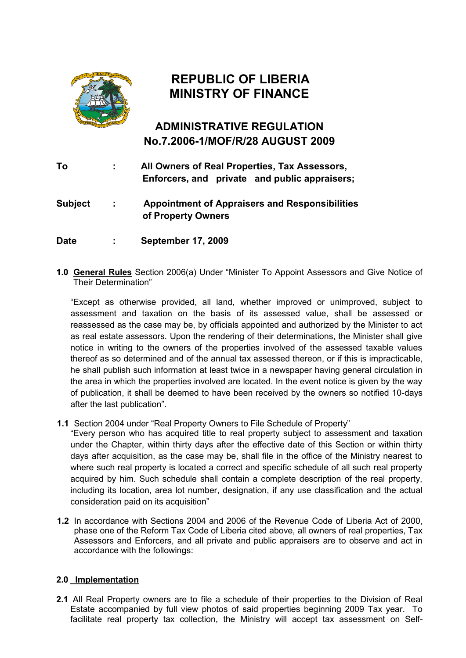

# **REPUBLIC OF LIBERIA MINISTRY OF FINANCE**

# **ADMINISTRATIVE REGULATION No.7.2006-1/MOF/R/28 AUGUST 2009**

| To      |            | All Owners of Real Properties, Tax Assessors,<br>Enforcers, and private and public appraisers; |  |  |  |  |  |  |
|---------|------------|------------------------------------------------------------------------------------------------|--|--|--|--|--|--|
| Subject | $\sim 100$ | <b>Appointment of Appraisers and Responsibilities</b><br>of Property Owners                    |  |  |  |  |  |  |

**Date : September 17, 2009**

**1.0 General Rules** Section 2006(a) Under "Minister To Appoint Assessors and Give Notice of Their Determination"

"Except as otherwise provided, all land, whether improved or unimproved, subject to assessment and taxation on the basis of its assessed value, shall be assessed or reassessed as the case may be, by officials appointed and authorized by the Minister to act as real estate assessors. Upon the rendering of their determinations, the Minister shall give notice in writing to the owners of the properties involved of the assessed taxable values thereof as so determined and of the annual tax assessed thereon, or if this is impracticable, he shall publish such information at least twice in a newspaper having general circulation in the area in which the properties involved are located. In the event notice is given by the way of publication, it shall be deemed to have been received by the owners so notified 10-days after the last publication".

**1.1** Section 2004 under "Real Property Owners to File Schedule of Property"

"Every person who has acquired title to real property subject to assessment and taxation under the Chapter, within thirty days after the effective date of this Section or within thirty days after acquisition, as the case may be, shall file in the office of the Ministry nearest to where such real property is located a correct and specific schedule of all such real property acquired by him. Such schedule shall contain a complete description of the real property, including its location, area lot number, designation, if any use classification and the actual consideration paid on its acquisition"

**1.2** In accordance with Sections 2004 and 2006 of the Revenue Code of Liberia Act of 2000, phase one of the Reform Tax Code of Liberia cited above, all owners of real properties, Tax Assessors and Enforcers, and all private and public appraisers are to observe and act in accordance with the followings:

## **2.0 Implementation**

**2.1** All Real Property owners are to file a schedule of their properties to the Division of Real Estate accompanied by full view photos of said properties beginning 2009 Tax year. To facilitate real property tax collection, the Ministry will accept tax assessment on Self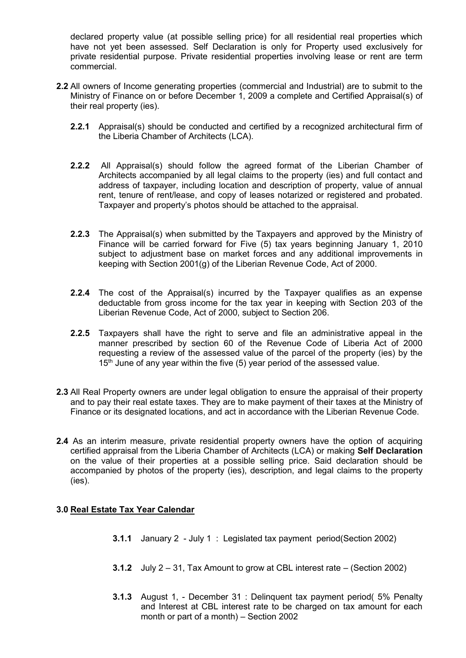declared property value (at possible selling price) for all residential real properties which have not yet been assessed. Self Declaration is only for Property used exclusively for private residential purpose. Private residential properties involving lease or rent are term commercial.

- **2.2** All owners of Income generating properties (commercial and Industrial) are to submit to the Ministry of Finance on or before December 1, 2009 a complete and Certified Appraisal(s) of their real property (ies).
	- **2.2.1** Appraisal(s) should be conducted and certified by a recognized architectural firm of the Liberia Chamber of Architects (LCA).
	- **2.2.2** All Appraisal(s) should follow the agreed format of the Liberian Chamber of Architects accompanied by all legal claims to the property (ies) and full contact and address of taxpayer, including location and description of property, value of annual rent, tenure of rent/lease, and copy of leases notarized or registered and probated. Taxpayer and property's photos should be attached to the appraisal.
	- **2.2.3** The Appraisal(s) when submitted by the Taxpayers and approved by the Ministry of Finance will be carried forward for Five (5) tax years beginning January 1, 2010 subject to adjustment base on market forces and any additional improvements in keeping with Section 2001(g) of the Liberian Revenue Code, Act of 2000.
	- **2.2.4** The cost of the Appraisal(s) incurred by the Taxpayer qualifies as an expense deductable from gross income for the tax year in keeping with Section 203 of the Liberian Revenue Code, Act of 2000, subject to Section 206.
	- **2.2.5** Taxpayers shall have the right to serve and file an administrative appeal in the manner prescribed by section 60 of the Revenue Code of Liberia Act of 2000 requesting a review of the assessed value of the parcel of the property (ies) by the  $15<sup>th</sup>$  June of any year within the five (5) year period of the assessed value.
- **2.3** All Real Property owners are under legal obligation to ensure the appraisal of their property and to pay their real estate taxes. They are to make payment of their taxes at the Ministry of Finance or its designated locations, and act in accordance with the Liberian Revenue Code.
- **2.4** As an interim measure, private residential property owners have the option of acquiring certified appraisal from the Liberia Chamber of Architects (LCA) or making **Self Declaration** on the value of their properties at a possible selling price. Said declaration should be accompanied by photos of the property (ies), description, and legal claims to the property (ies).

## **3.0 Real Estate Tax Year Calendar**

- **3.1.1** January 2 July 1 : Legislated tax payment period(Section 2002)
- **3.1.2** July 2 31, Tax Amount to grow at CBL interest rate (Section 2002)
- **3.1.3** August 1, December 31 : Delinquent tax payment period( 5% Penalty and Interest at CBL interest rate to be charged on tax amount for each month or part of a month) – Section 2002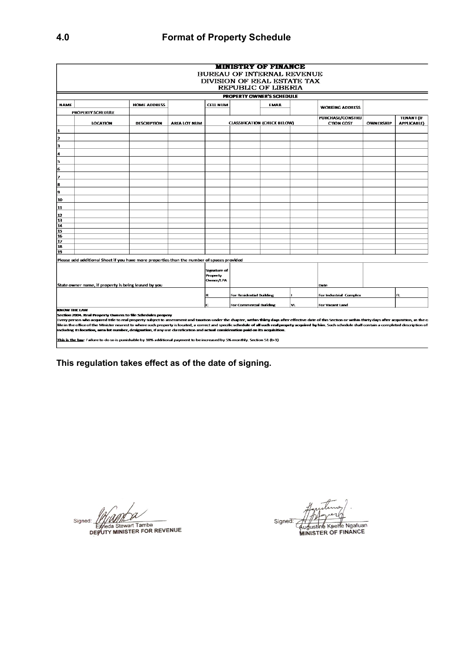# **4.0 Format of Property Schedule**

| <b>MINISTRY OF FINANCE</b><br><b>BUREAU OF INTERNAL REVENUE</b><br>DIVISION OF REAL ESTATE TAX<br><b>REPUBLIC OF LIBERIA</b>                                                                                                                                                                                                                                                                                                                                                                                                                                                                                                                            |                 |                     |                     |                                              |                                      |              |                        |                                       |                  |                                         |  |  |  |
|---------------------------------------------------------------------------------------------------------------------------------------------------------------------------------------------------------------------------------------------------------------------------------------------------------------------------------------------------------------------------------------------------------------------------------------------------------------------------------------------------------------------------------------------------------------------------------------------------------------------------------------------------------|-----------------|---------------------|---------------------|----------------------------------------------|--------------------------------------|--------------|------------------------|---------------------------------------|------------------|-----------------------------------------|--|--|--|
|                                                                                                                                                                                                                                                                                                                                                                                                                                                                                                                                                                                                                                                         |                 |                     |                     |                                              | PROPERTY OWNER'S SCHEDULE            |              |                        |                                       |                  |                                         |  |  |  |
| <b>NAME</b>                                                                                                                                                                                                                                                                                                                                                                                                                                                                                                                                                                                                                                             |                 | <b>HOME ADDRESS</b> |                     | <b>CELL NUM</b>                              |                                      | <b>EMAIL</b> |                        | <b>WORKING ADDRESS</b>                |                  |                                         |  |  |  |
| <b>PROPERTY SCHEDULE</b>                                                                                                                                                                                                                                                                                                                                                                                                                                                                                                                                                                                                                                |                 |                     |                     |                                              |                                      |              |                        |                                       |                  |                                         |  |  |  |
|                                                                                                                                                                                                                                                                                                                                                                                                                                                                                                                                                                                                                                                         | <b>LOCATION</b> | <b>DESCRIPTION</b>  | <b>AREA LOT NUM</b> | <b>CLASSIFICATION (CHECK BELOW)</b>          |                                      |              |                        | PURCHASE/CONSTRU<br><b>CTION COST</b> | <b>OWNERSHIP</b> | <b>TENANT (IF</b><br><b>APPLICABLE)</b> |  |  |  |
|                                                                                                                                                                                                                                                                                                                                                                                                                                                                                                                                                                                                                                                         |                 |                     |                     |                                              |                                      |              |                        |                                       |                  |                                         |  |  |  |
|                                                                                                                                                                                                                                                                                                                                                                                                                                                                                                                                                                                                                                                         |                 |                     |                     |                                              |                                      |              |                        |                                       |                  |                                         |  |  |  |
| з                                                                                                                                                                                                                                                                                                                                                                                                                                                                                                                                                                                                                                                       |                 |                     |                     |                                              |                                      |              |                        |                                       |                  |                                         |  |  |  |
| 4                                                                                                                                                                                                                                                                                                                                                                                                                                                                                                                                                                                                                                                       |                 |                     |                     |                                              |                                      |              |                        |                                       |                  |                                         |  |  |  |
| 5                                                                                                                                                                                                                                                                                                                                                                                                                                                                                                                                                                                                                                                       |                 |                     |                     |                                              |                                      |              |                        |                                       |                  |                                         |  |  |  |
| 6                                                                                                                                                                                                                                                                                                                                                                                                                                                                                                                                                                                                                                                       |                 |                     |                     |                                              |                                      |              |                        |                                       |                  |                                         |  |  |  |
|                                                                                                                                                                                                                                                                                                                                                                                                                                                                                                                                                                                                                                                         |                 |                     |                     |                                              |                                      |              |                        |                                       |                  |                                         |  |  |  |
| 7                                                                                                                                                                                                                                                                                                                                                                                                                                                                                                                                                                                                                                                       |                 |                     |                     |                                              |                                      |              |                        |                                       |                  |                                         |  |  |  |
| 8                                                                                                                                                                                                                                                                                                                                                                                                                                                                                                                                                                                                                                                       |                 |                     |                     |                                              |                                      |              |                        |                                       |                  |                                         |  |  |  |
| 9                                                                                                                                                                                                                                                                                                                                                                                                                                                                                                                                                                                                                                                       |                 |                     |                     |                                              |                                      |              |                        |                                       |                  |                                         |  |  |  |
| 10                                                                                                                                                                                                                                                                                                                                                                                                                                                                                                                                                                                                                                                      |                 |                     |                     |                                              |                                      |              |                        |                                       |                  |                                         |  |  |  |
| 11                                                                                                                                                                                                                                                                                                                                                                                                                                                                                                                                                                                                                                                      |                 |                     |                     |                                              |                                      |              |                        |                                       |                  |                                         |  |  |  |
| 12<br>13                                                                                                                                                                                                                                                                                                                                                                                                                                                                                                                                                                                                                                                |                 |                     |                     |                                              |                                      |              |                        |                                       |                  |                                         |  |  |  |
| 14                                                                                                                                                                                                                                                                                                                                                                                                                                                                                                                                                                                                                                                      |                 |                     |                     |                                              |                                      |              |                        |                                       |                  |                                         |  |  |  |
| 15                                                                                                                                                                                                                                                                                                                                                                                                                                                                                                                                                                                                                                                      |                 |                     |                     |                                              |                                      |              |                        |                                       |                  |                                         |  |  |  |
| 16<br>17                                                                                                                                                                                                                                                                                                                                                                                                                                                                                                                                                                                                                                                |                 |                     |                     |                                              |                                      |              |                        |                                       |                  |                                         |  |  |  |
| 18                                                                                                                                                                                                                                                                                                                                                                                                                                                                                                                                                                                                                                                      |                 |                     |                     |                                              |                                      |              |                        |                                       |                  |                                         |  |  |  |
| 19                                                                                                                                                                                                                                                                                                                                                                                                                                                                                                                                                                                                                                                      |                 |                     |                     |                                              |                                      |              |                        |                                       |                  |                                         |  |  |  |
| Please add additional Sheet if you have more properties than the number of spaces provided                                                                                                                                                                                                                                                                                                                                                                                                                                                                                                                                                              |                 |                     |                     |                                              |                                      |              |                        |                                       |                  |                                         |  |  |  |
| State owner name, if property is being leased by you                                                                                                                                                                                                                                                                                                                                                                                                                                                                                                                                                                                                    |                 |                     |                     | <b>Signature of</b><br>Property<br>Owner/LPA |                                      |              |                        | Date                                  |                  |                                         |  |  |  |
|                                                                                                                                                                                                                                                                                                                                                                                                                                                                                                                                                                                                                                                         |                 |                     |                     | R                                            |                                      |              |                        |                                       |                  | FL                                      |  |  |  |
|                                                                                                                                                                                                                                                                                                                                                                                                                                                                                                                                                                                                                                                         |                 |                     |                     |                                              | <b>For Residential Building</b>      |              | For Industrial Complex |                                       |                  |                                         |  |  |  |
|                                                                                                                                                                                                                                                                                                                                                                                                                                                                                                                                                                                                                                                         |                 |                     |                     | lc.                                          | <b>For Commercial Building</b><br>VL |              | For Vacant Land        |                                       |                  |                                         |  |  |  |
| KNOW THE LAW<br>Section 2004. Real Property Owners to file Schedules propery<br>Every person who acquired title to real property subject to assessment and taxation under the chapter, within thirty days after effective date of this Section or within thirty days after acquisition, as the c<br>file in the office of the Minister nearest to where such property is located, a correct and specific schedule of all such real propety acquired by him. Such schedule shall contain a completed description of<br>including its location, area lot number, designation, if any use classification and actual consideration paid on its acquisition. |                 |                     |                     |                                              |                                      |              |                        |                                       |                  |                                         |  |  |  |
| This is the law: Failure to do so is punishable by 10% additional payment to be increased by 5% monthly. Section 51 (b-1)                                                                                                                                                                                                                                                                                                                                                                                                                                                                                                                               |                 |                     |                     |                                              |                                      |              |                        |                                       |                  |                                         |  |  |  |

**This regulation takes effect as of the date of signing.**

Signed: **MANY**<br>Signed: Exheda Stewart Tamba<br>DEPUTY MINISTER FOR REVENUE

Signed:

Augustine Kpelle Ngafuan<br>MINISTER OF FINANCE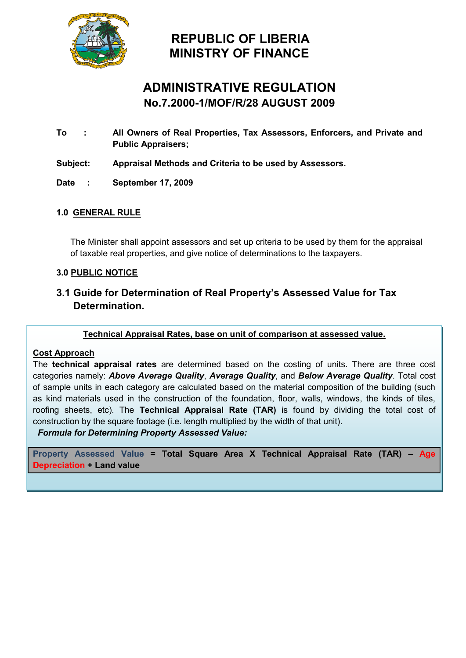

# **REPUBLIC OF LIBERIA MINISTRY OF FINANCE**

# **ADMINISTRATIVE REGULATION No.7.2000-1/MOF/R/28 AUGUST 2009**

- **To : All Owners of Real Properties, Tax Assessors, Enforcers, and Private and Public Appraisers;**
- **Subject: Appraisal Methods and Criteria to be used by Assessors.**
- **Date : September 17, 2009**

# **1.0 GENERAL RULE**

The Minister shall appoint assessors and set up criteria to be used by them for the appraisal of taxable real properties, and give notice of determinations to the taxpayers.

## **3.0 PUBLIC NOTICE**

# **3.1 Guide for Determination of Real Property's Assessed Value for Tax Determination.**

**Technical Appraisal Rates, base on unit of comparison at assessed value.**

## **Cost Approach**

The **technical appraisal rates** are determined based on the costing of units. There are three cost categories namely: *Above Average Quality*, *Average Quality*, and *Below Average Quality*. Total cost of sample units in each category are calculated based on the material composition of the building (such as kind materials used in the construction of the foundation, floor, walls, windows, the kinds of tiles, roofing sheets, etc). The **Technical Appraisal Rate (TAR)** is found by dividing the total cost of construction by the square footage (i.e. length multiplied by the width of that unit).

 *Formula for Determining Property Assessed Value:*

**Property Assessed Value = Total Square Area X Technical Appraisal Rate (TAR) – Age Depreciation + Land value**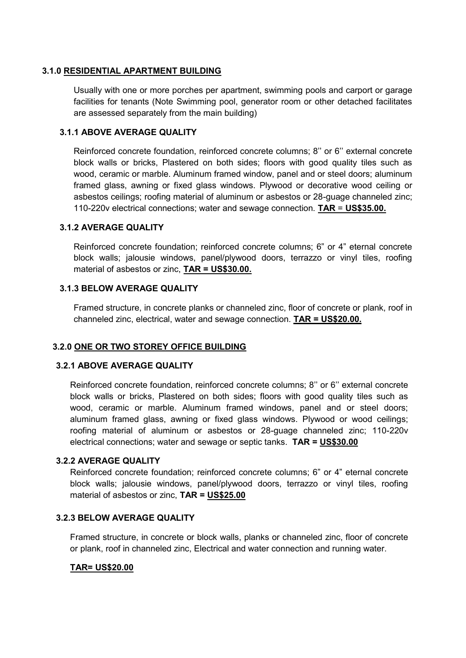## **3.1.0 RESIDENTIAL APARTMENT BUILDING**

Usually with one or more porches per apartment, swimming pools and carport or garage facilities for tenants (Note Swimming pool, generator room or other detached facilitates are assessed separately from the main building)

## **3.1.1 ABOVE AVERAGE QUALITY**

Reinforced concrete foundation, reinforced concrete columns; 8'' or 6'' external concrete block walls or bricks, Plastered on both sides; floors with good quality tiles such as wood, ceramic or marble. Aluminum framed window, panel and or steel doors; aluminum framed glass, awning or fixed glass windows. Plywood or decorative wood ceiling or asbestos ceilings; roofing material of aluminum or asbestos or 28-guage channeled zinc; 110-220v electrical connections; water and sewage connection. **TAR** = **US\$35.00.**

## **3.1.2 AVERAGE QUALITY**

Reinforced concrete foundation; reinforced concrete columns; 6" or 4" eternal concrete block walls; jalousie windows, panel/plywood doors, terrazzo or vinyl tiles, roofing material of asbestos or zinc, **TAR = US\$30.00.**

## **3.1.3 BELOW AVERAGE QUALITY**

Framed structure, in concrete planks or channeled zinc, floor of concrete or plank, roof in channeled zinc, electrical, water and sewage connection. **TAR = US\$20.00.**

## **3.2.0 ONE OR TWO STOREY OFFICE BUILDING**

## **3.2.1 ABOVE AVERAGE QUALITY**

Reinforced concrete foundation, reinforced concrete columns; 8'' or 6'' external concrete block walls or bricks, Plastered on both sides; floors with good quality tiles such as wood, ceramic or marble. Aluminum framed windows, panel and or steel doors; aluminum framed glass, awning or fixed glass windows. Plywood or wood ceilings; roofing material of aluminum or asbestos or 28-guage channeled zinc; 110-220v electrical connections; water and sewage or septic tanks. **TAR = US\$30.00**

## **3.2.2 AVERAGE QUALITY**

Reinforced concrete foundation; reinforced concrete columns; 6" or 4" eternal concrete block walls; jalousie windows, panel/plywood doors, terrazzo or vinyl tiles, roofing material of asbestos or zinc, **TAR = US\$25.00**

## **3.2.3 BELOW AVERAGE QUALITY**

Framed structure, in concrete or block walls, planks or channeled zinc, floor of concrete or plank, roof in channeled zinc, Electrical and water connection and running water.

## **TAR= US\$20.00**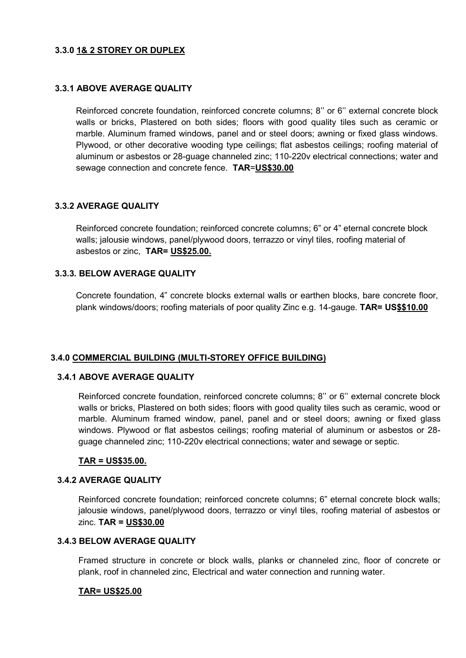## **3.3.0 1& 2 STOREY OR DUPLEX**

## **3.3.1 ABOVE AVERAGE QUALITY**

Reinforced concrete foundation, reinforced concrete columns; 8'' or 6'' external concrete block walls or bricks, Plastered on both sides; floors with good quality tiles such as ceramic or marble. Aluminum framed windows, panel and or steel doors; awning or fixed glass windows. Plywood, or other decorative wooding type ceilings; flat asbestos ceilings; roofing material of aluminum or asbestos or 28-guage channeled zinc; 110-220v electrical connections; water and sewage connection and concrete fence. **TAR**=**US\$30.00**

### **3.3.2 AVERAGE QUALITY**

Reinforced concrete foundation; reinforced concrete columns; 6" or 4" eternal concrete block walls; jalousie windows, panel/plywood doors, terrazzo or vinyl tiles, roofing material of asbestos or zinc, **TAR= US\$25.00.**

## **3.3.3. BELOW AVERAGE QUALITY**

Concrete foundation, 4" concrete blocks external walls or earthen blocks, bare concrete floor, plank windows/doors; roofing materials of poor quality Zinc e.g. 14-gauge. **TAR= US\$\$10.00**

#### **3.4.0 COMMERCIAL BUILDING (MULTI-STOREY OFFICE BUILDING)**

#### **3.4.1 ABOVE AVERAGE QUALITY**

Reinforced concrete foundation, reinforced concrete columns; 8'' or 6'' external concrete block walls or bricks, Plastered on both sides; floors with good quality tiles such as ceramic, wood or marble. Aluminum framed window, panel, panel and or steel doors; awning or fixed glass windows. Plywood or flat asbestos ceilings; roofing material of aluminum or asbestos or 28 guage channeled zinc; 110-220v electrical connections; water and sewage or septic.

## **TAR = US\$35.00.**

#### **3.4.2 AVERAGE QUALITY**

Reinforced concrete foundation; reinforced concrete columns; 6" eternal concrete block walls; jalousie windows, panel/plywood doors, terrazzo or vinyl tiles, roofing material of asbestos or zinc. **TAR = US\$30.00**

#### **3.4.3 BELOW AVERAGE QUALITY**

Framed structure in concrete or block walls, planks or channeled zinc, floor of concrete or plank, roof in channeled zinc, Electrical and water connection and running water.

#### **TAR= US\$25.00**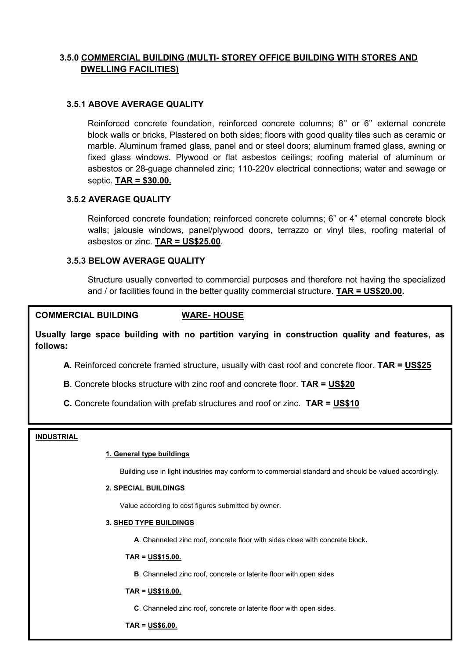# **3.5.0 COMMERCIAL BUILDING (MULTI- STOREY OFFICE BUILDING WITH STORES AND DWELLING FACILITIES)**

## **3.5.1 ABOVE AVERAGE QUALITY**

Reinforced concrete foundation, reinforced concrete columns; 8'' or 6'' external concrete block walls or bricks, Plastered on both sides; floors with good quality tiles such as ceramic or marble. Aluminum framed glass, panel and or steel doors; aluminum framed glass, awning or fixed glass windows. Plywood or flat asbestos ceilings; roofing material of aluminum or asbestos or 28-guage channeled zinc; 110-220v electrical connections; water and sewage or septic. **TAR = \$30.00.**

### **3.5.2 AVERAGE QUALITY**

Reinforced concrete foundation; reinforced concrete columns; 6" or 4" eternal concrete block walls; jalousie windows, panel/plywood doors, terrazzo or vinyl tiles, roofing material of asbestos or zinc. **TAR = US\$25.00**.

### **3.5.3 BELOW AVERAGE QUALITY**

Structure usually converted to commercial purposes and therefore not having the specialized and / or facilities found in the better quality commercial structure. **TAR = US\$20.00.**

**COMMERCIAL BUILDING WARE- HOUSE**

**Usually large space building with no partition varying in construction quality and features, as follows:** 

**A**. Reinforced concrete framed structure, usually with cast roof and concrete floor. **TAR = US\$25**

**B**. Concrete blocks structure with zinc roof and concrete floor. **TAR = US\$20**

**C.** Concrete foundation with prefab structures and roof or zinc. **TAR = US\$10**

#### **INDUSTRIAL**

#### **1. General type buildings**

Building use in light industries may conform to commercial standard and should be valued accordingly.

#### **2. SPECIAL BUILDINGS**

Value according to cost figures submitted by owner.

#### **3. SHED TYPE BUILDINGS**

**A**. Channeled zinc roof, concrete floor with sides close with concrete block**.** 

#### **TAR = US\$15.00.**

**B**. Channeled zinc roof, concrete or laterite floor with open sides

#### **TAR = US\$18.00.**

**C**. Channeled zinc roof, concrete or laterite floor with open sides.

 **TAR = US\$6.00.**